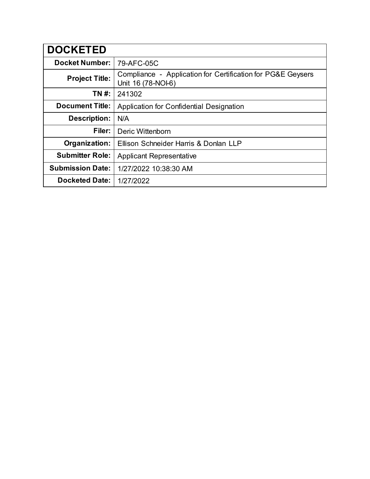| <b>DOCKETED</b>         |                                                                                   |
|-------------------------|-----------------------------------------------------------------------------------|
| <b>Docket Number:</b>   | 79-AFC-05C                                                                        |
| <b>Project Title:</b>   | Compliance - Application for Certification for PG&E Geysers<br>Unit 16 (78-NOI-6) |
| TN #:                   | 241302                                                                            |
| <b>Document Title:</b>  | Application for Confidential Designation                                          |
| <b>Description:</b>     | N/A                                                                               |
| Filer:                  | Deric Wittenborn                                                                  |
| Organization:           | Ellison Schneider Harris & Donlan LLP                                             |
| <b>Submitter Role:</b>  | <b>Applicant Representative</b>                                                   |
| <b>Submission Date:</b> | 1/27/2022 10:38:30 AM                                                             |
| <b>Docketed Date:</b>   | 1/27/2022                                                                         |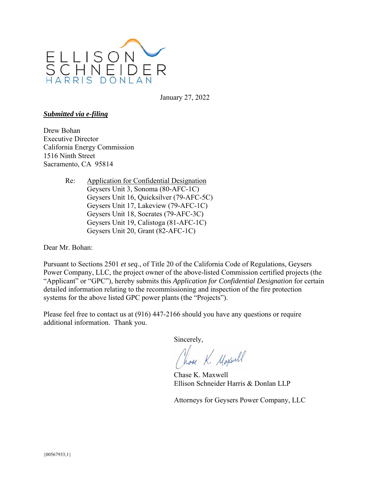

January 27, 2022

## *Submitted via e-filing*

Drew Bohan Executive Director California Energy Commission 1516 Ninth Street Sacramento, CA 95814

> Re: Application for Confidential Designation Geysers Unit 3, Sonoma (80-AFC-1C) Geysers Unit 16, Quicksilver (79-AFC-5C) Geysers Unit 17, Lakeview (79-AFC-1C) Geysers Unit 18, Socrates (79-AFC-3C) Geysers Unit 19, Calistoga (81-AFC-1C) Geysers Unit 20, Grant (82-AFC-1C)

Dear Mr. Bohan:

Pursuant to Sections 2501 *et seq.*, of Title 20 of the California Code of Regulations, Geysers Power Company, LLC, the project owner of the above-listed Commission certified projects (the "Applicant" or "GPC"), hereby submits this *Application for Confidential Designation* for certain detailed information relating to the recommissioning and inspection of the fire protection systems for the above listed GPC power plants (the "Projects").

Please feel free to contact us at (916) 447-2166 should you have any questions or require additional information. Thank you.

Sincerely,

Chose K. Maxwell

Chase K. Maxwell Ellison Schneider Harris & Donlan LLP

Attorneys for Geysers Power Company, LLC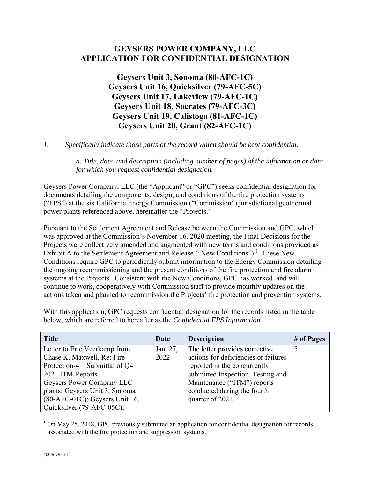## **GEYSERS POWER COMPANY, LLC APPLICATION FOR CONFIDENTIAL DESIGNATION**

**Geysers Unit 3, Sonoma (80-AFC-1C) Geysers Unit 16, Quicksilver (79-AFC-5C) Geysers Unit 17, Lakeview (79-AFC-1C) Geysers Unit 18, Socrates (79-AFC-3C) Geysers Unit 19, Calistoga (81-AFC-1C) Geysers Unit 20, Grant (82-AFC-1C)** 

*1. Specifically indicate those parts of the record which should be kept confidential.*

*a. Title, date, and description (including number of pages) of the information or data for which you request confidential designation.* 

Geysers Power Company, LLC (the "Applicant" or "GPC") seeks confidential designation for documents detailing the components, design, and conditions of the fire protection systems ("FPS") at the six California Energy Commission ("Commission") jurisdictional geothermal power plants referenced above, hereinafter the "Projects."

Pursuant to the Settlement Agreement and Release between the Commission and GPC, which was approved at the Commission's November 16, 2020 meeting, the Final Decisions for the Projects were collectively amended and augmented with new terms and conditions provided as Exhibit A to the Settlement Agreement and Release ("New Conditions").<sup>1</sup> These New Conditions require GPC to periodically submit information to the Energy Commission detailing the ongoing recommissioning and the present conditions of the fire protection and fire alarm systems at the Projects. Consistent with the New Conditions, GPC has worked, and will continue to work, cooperatively with Commission staff to provide monthly updates on the actions taken and planned to recommission the Projects' fire protection and prevention systems.

With this application, GPC requests confidential designation for the records listed in the table below, which are referred to hereafter as the *Confidential FPS Information*.

| <b>Title</b>                      | Date     | <b>Description</b>                   | # of Pages |
|-----------------------------------|----------|--------------------------------------|------------|
| Letter to Eric Veerkamp from      | Jan. 27, | The letter provides corrective       |            |
| Chase K. Maxwell, Re: Fire        | 2022     | actions for deficiencies or failures |            |
| Protection-4 – Submittal of $Q4$  |          | reported in the concurrently         |            |
| 2021 ITM Reports,                 |          | submitted Inspection, Testing and    |            |
| Geysers Power Company LLC         |          | Maintenance ("ITM") reports          |            |
| plants: Geysers Unit 3, Sonoma    |          | conducted during the fourth          |            |
| $(80-AFC-01C)$ ; Geysers Unit 16, |          | quarter of 2021.                     |            |
| Quicksilver (79-AFC-05C);         |          |                                      |            |

1 On May 25, 2018, GPC previously submitted an application for confidential designation for records associated with the fire protection and suppression systems.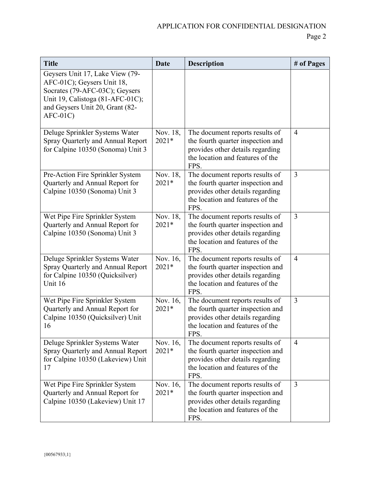| <b>Title</b>                                                                                                                                                                        | <b>Date</b>         | <b>Description</b>                                                                                                                                   | # of Pages     |
|-------------------------------------------------------------------------------------------------------------------------------------------------------------------------------------|---------------------|------------------------------------------------------------------------------------------------------------------------------------------------------|----------------|
| Geysers Unit 17, Lake View (79-<br>AFC-01C); Geysers Unit 18,<br>Socrates (79-AFC-03C); Geysers<br>Unit 19, Calistoga (81-AFC-01C);<br>and Geysers Unit 20, Grant (82-<br>$AFC-01C$ |                     |                                                                                                                                                      |                |
| Deluge Sprinkler Systems Water<br>Spray Quarterly and Annual Report<br>for Calpine 10350 (Sonoma) Unit 3                                                                            | Nov. 18,<br>$2021*$ | The document reports results of<br>the fourth quarter inspection and<br>provides other details regarding<br>the location and features of the<br>FPS. | $\overline{4}$ |
| Pre-Action Fire Sprinkler System<br>Quarterly and Annual Report for<br>Calpine 10350 (Sonoma) Unit 3                                                                                | Nov. 18,<br>2021*   | The document reports results of<br>the fourth quarter inspection and<br>provides other details regarding<br>the location and features of the<br>FPS. | $\overline{3}$ |
| Wet Pipe Fire Sprinkler System<br>Quarterly and Annual Report for<br>Calpine 10350 (Sonoma) Unit 3                                                                                  | Nov. 18,<br>$2021*$ | The document reports results of<br>the fourth quarter inspection and<br>provides other details regarding<br>the location and features of the<br>FPS. | 3              |
| Deluge Sprinkler Systems Water<br>Spray Quarterly and Annual Report<br>for Calpine 10350 (Quicksilver)<br>Unit 16                                                                   | Nov. 16,<br>$2021*$ | The document reports results of<br>the fourth quarter inspection and<br>provides other details regarding<br>the location and features of the<br>FPS. | $\overline{4}$ |
| Wet Pipe Fire Sprinkler System<br>Quarterly and Annual Report for<br>Calpine 10350 (Quicksilver) Unit<br>16                                                                         | Nov. 16,<br>2021*   | The document reports results of<br>the fourth quarter inspection and<br>provides other details regarding<br>the location and features of the<br>FPS. | $\overline{3}$ |
| Deluge Sprinkler Systems Water<br>Spray Quarterly and Annual Report<br>for Calpine 10350 (Lakeview) Unit<br>17                                                                      | Nov. 16,<br>$2021*$ | The document reports results of<br>the fourth quarter inspection and<br>provides other details regarding<br>the location and features of the<br>FPS. | $\overline{4}$ |
| Wet Pipe Fire Sprinkler System<br>Quarterly and Annual Report for<br>Calpine 10350 (Lakeview) Unit 17                                                                               | Nov. 16,<br>$2021*$ | The document reports results of<br>the fourth quarter inspection and<br>provides other details regarding<br>the location and features of the<br>FPS. | 3              |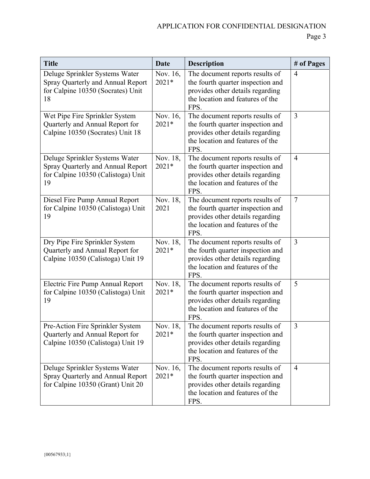| <b>Title</b>                                                                                                    | <b>Date</b>         | <b>Description</b>                                                                                                                                   | # of Pages      |
|-----------------------------------------------------------------------------------------------------------------|---------------------|------------------------------------------------------------------------------------------------------------------------------------------------------|-----------------|
| Deluge Sprinkler Systems Water<br>Spray Quarterly and Annual Report<br>for Calpine 10350 (Socrates) Unit<br>18  | Nov. 16,<br>$2021*$ | The document reports results of<br>the fourth quarter inspection and<br>provides other details regarding<br>the location and features of the<br>FPS. | $\overline{4}$  |
| Wet Pipe Fire Sprinkler System<br>Quarterly and Annual Report for<br>Calpine 10350 (Socrates) Unit 18           | Nov. 16,<br>2021*   | The document reports results of<br>the fourth quarter inspection and<br>provides other details regarding<br>the location and features of the<br>FPS. | $\overline{3}$  |
| Deluge Sprinkler Systems Water<br>Spray Quarterly and Annual Report<br>for Calpine 10350 (Calistoga) Unit<br>19 | Nov. 18,<br>$2021*$ | The document reports results of<br>the fourth quarter inspection and<br>provides other details regarding<br>the location and features of the<br>FPS. | $\overline{4}$  |
| Diesel Fire Pump Annual Report<br>for Calpine 10350 (Calistoga) Unit<br>19                                      | Nov. 18,<br>2021    | The document reports results of<br>the fourth quarter inspection and<br>provides other details regarding<br>the location and features of the<br>FPS. | $7\phantom{.0}$ |
| Dry Pipe Fire Sprinkler System<br>Quarterly and Annual Report for<br>Calpine 10350 (Calistoga) Unit 19          | Nov. 18,<br>2021*   | The document reports results of<br>the fourth quarter inspection and<br>provides other details regarding<br>the location and features of the<br>FPS. | $\overline{3}$  |
| Electric Fire Pump Annual Report<br>for Calpine 10350 (Calistoga) Unit<br>19                                    | Nov. 18,<br>2021*   | The document reports results of<br>the fourth quarter inspection and<br>provides other details regarding<br>the location and features of the<br>FPS. | 5               |
| Pre-Action Fire Sprinkler System<br>Quarterly and Annual Report for<br>Calpine 10350 (Calistoga) Unit 19        | Nov. 18,<br>2021*   | The document reports results of<br>the fourth quarter inspection and<br>provides other details regarding<br>the location and features of the<br>FPS. | $\mathfrak{Z}$  |
| Deluge Sprinkler Systems Water<br>Spray Quarterly and Annual Report<br>for Calpine 10350 (Grant) Unit 20        | Nov. 16,<br>$2021*$ | The document reports results of<br>the fourth quarter inspection and<br>provides other details regarding<br>the location and features of the<br>FPS. | $\overline{4}$  |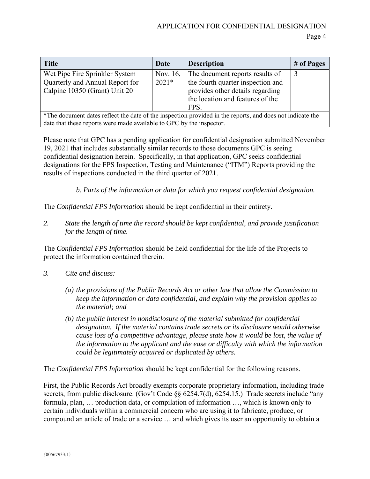Page 4

| <b>Title</b>                                                                                              | Date     | <b>Description</b>                | # of Pages |  |  |
|-----------------------------------------------------------------------------------------------------------|----------|-----------------------------------|------------|--|--|
| Wet Pipe Fire Sprinkler System                                                                            | Nov. 16, | The document reports results of   | 3          |  |  |
| Quarterly and Annual Report for                                                                           | $2021*$  | the fourth quarter inspection and |            |  |  |
| Calpine 10350 (Grant) Unit 20                                                                             |          | provides other details regarding  |            |  |  |
|                                                                                                           |          | the location and features of the  |            |  |  |
|                                                                                                           |          | FPS.                              |            |  |  |
| *The document dates reflect the date of the inspection provided in the reports, and does not indicate the |          |                                   |            |  |  |
| date that these reports were made available to GPC by the inspector.                                      |          |                                   |            |  |  |

Please note that GPC has a pending application for confidential designation submitted November 19, 2021 that includes substantially similar records to those documents GPC is seeing confidential designation herein. Specifically, in that application, GPC seeks confidential designations for the FPS Inspection, Testing and Maintenance ("ITM") Reports providing the results of inspections conducted in the third quarter of 2021.

*b. Parts of the information or data for which you request confidential designation.* 

The *Confidential FPS Information* should be kept confidential in their entirety.

*2. State the length of time the record should be kept confidential, and provide justification for the length of time.* 

The *Confidential FPS Information* should be held confidential for the life of the Projects to protect the information contained therein.

- *3. Cite and discuss:* 
	- *(a) the provisions of the Public Records Act or other law that allow the Commission to keep the information or data confidential, and explain why the provision applies to the material; and*
	- *(b) the public interest in nondisclosure of the material submitted for confidential designation. If the material contains trade secrets or its disclosure would otherwise cause loss of a competitive advantage, please state how it would be lost, the value of the information to the applicant and the ease or difficulty with which the information could be legitimately acquired or duplicated by others.*

The *Confidential FPS Information* should be kept confidential for the following reasons.

First, the Public Records Act broadly exempts corporate proprietary information, including trade secrets, from public disclosure. (Gov't Code §§ 6254.7(d), 6254.15.) Trade secrets include "any formula, plan, … production data, or compilation of information …, which is known only to certain individuals within a commercial concern who are using it to fabricate, produce, or compound an article of trade or a service … and which gives its user an opportunity to obtain a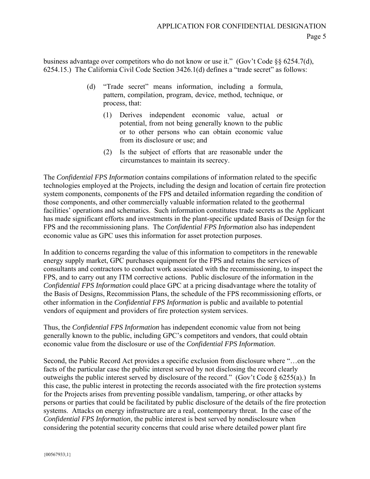business advantage over competitors who do not know or use it." (Gov't Code §§ 6254.7(d), 6254.15.) The California Civil Code Section 3426.1(d) defines a "trade secret" as follows:

- (d) "Trade secret" means information, including a formula, pattern, compilation, program, device, method, technique, or process, that:
	- (1) Derives independent economic value, actual or potential, from not being generally known to the public or to other persons who can obtain economic value from its disclosure or use; and
	- (2) Is the subject of efforts that are reasonable under the circumstances to maintain its secrecy.

The *Confidential FPS Information* contains compilations of information related to the specific technologies employed at the Projects, including the design and location of certain fire protection system components, components of the FPS and detailed information regarding the condition of those components, and other commercially valuable information related to the geothermal facilities' operations and schematics. Such information constitutes trade secrets as the Applicant has made significant efforts and investments in the plant-specific updated Basis of Design for the FPS and the recommissioning plans. The *Confidential FPS Information* also has independent economic value as GPC uses this information for asset protection purposes.

In addition to concerns regarding the value of this information to competitors in the renewable energy supply market, GPC purchases equipment for the FPS and retains the services of consultants and contractors to conduct work associated with the recommissioning, to inspect the FPS, and to carry out any ITM corrective actions. Public disclosure of the information in the *Confidential FPS Information* could place GPC at a pricing disadvantage where the totality of the Basis of Designs, Recommission Plans, the schedule of the FPS recommissioning efforts, or other information in the *Confidential FPS Information* is public and available to potential vendors of equipment and providers of fire protection system services.

Thus, the *Confidential FPS Information* has independent economic value from not being generally known to the public, including GPC's competitors and vendors, that could obtain economic value from the disclosure or use of the *Confidential FPS Information*.

Second, the Public Record Act provides a specific exclusion from disclosure where "…on the facts of the particular case the public interest served by not disclosing the record clearly outweighs the public interest served by disclosure of the record." (Gov't Code § 6255(a).) In this case, the public interest in protecting the records associated with the fire protection systems for the Projects arises from preventing possible vandalism, tampering, or other attacks by persons or parties that could be facilitated by public disclosure of the details of the fire protection systems. Attacks on energy infrastructure are a real, contemporary threat. In the case of the *Confidential FPS Information*, the public interest is best served by nondisclosure when considering the potential security concerns that could arise where detailed power plant fire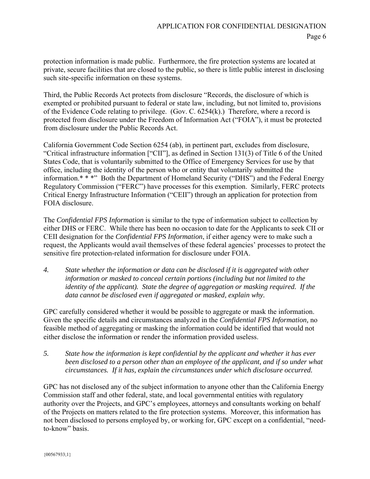protection information is made public. Furthermore, the fire protection systems are located at private, secure facilities that are closed to the public, so there is little public interest in disclosing such site-specific information on these systems.

Third, the Public Records Act protects from disclosure "Records, the disclosure of which is exempted or prohibited pursuant to federal or state law, including, but not limited to, provisions of the Evidence Code relating to privilege. (Gov. C. 6254(k).) Therefore, where a record is protected from disclosure under the Freedom of Information Act ("FOIA"), it must be protected from disclosure under the Public Records Act.

California Government Code Section 6254 (ab), in pertinent part, excludes from disclosure, "Critical infrastructure information ["CII"], as defined in Section 131(3) of Title 6 of the United States Code, that is voluntarily submitted to the Office of Emergency Services for use by that office, including the identity of the person who or entity that voluntarily submitted the information.\* \* \*" Both the Department of Homeland Security ("DHS") and the Federal Energy Regulatory Commission ("FERC") have processes for this exemption. Similarly, FERC protects Critical Energy Infrastructure Information ("CEII") through an application for protection from FOIA disclosure.

The *Confidential FPS Information* is similar to the type of information subject to collection by either DHS or FERC. While there has been no occasion to date for the Applicants to seek CII or CEII designation for the *Confidential FPS Information*, if either agency were to make such a request, the Applicants would avail themselves of these federal agencies' processes to protect the sensitive fire protection-related information for disclosure under FOIA.

*4. State whether the information or data can be disclosed if it is aggregated with other information or masked to conceal certain portions (including but not limited to the identity of the applicant). State the degree of aggregation or masking required. If the data cannot be disclosed even if aggregated or masked, explain why.*

GPC carefully considered whether it would be possible to aggregate or mask the information. Given the specific details and circumstances analyzed in the *Confidential FPS Information,* no feasible method of aggregating or masking the information could be identified that would not either disclose the information or render the information provided useless.

*5. State how the information is kept confidential by the applicant and whether it has ever*  been disclosed to a person other than an employee of the applicant, and if so under what *circumstances. If it has, explain the circumstances under which disclosure occurred.*

GPC has not disclosed any of the subject information to anyone other than the California Energy Commission staff and other federal, state, and local governmental entities with regulatory authority over the Projects, and GPC's employees, attorneys and consultants working on behalf of the Projects on matters related to the fire protection systems. Moreover, this information has not been disclosed to persons employed by, or working for, GPC except on a confidential, "needto-know" basis.